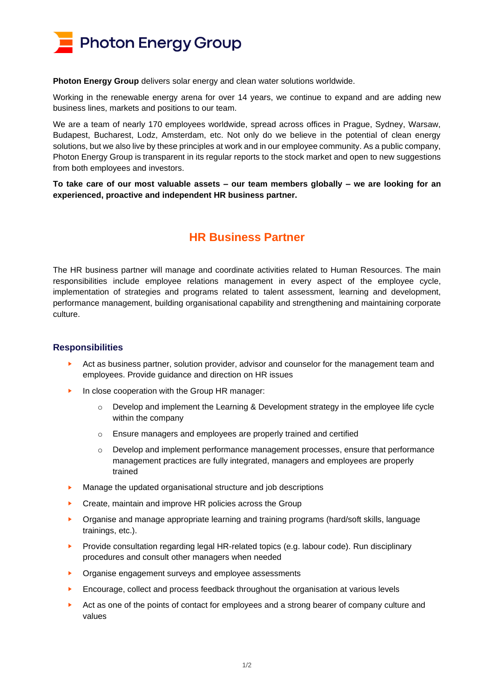

**Photon Energy Group** delivers solar energy and clean water solutions worldwide.

Working in the renewable energy arena for over 14 years, we continue to expand and are adding new business lines, markets and positions to our team.

We are a team of nearly 170 employees worldwide, spread across offices in Prague, Sydney, Warsaw, Budapest, Bucharest, Lodz, Amsterdam, etc. Not only do we believe in the potential of clean energy solutions, but we also live by these principles at work and in our employee community. As a public company, Photon Energy Group is transparent in its regular reports to the stock market and open to new suggestions from both employees and investors.

**To take care of our most valuable assets – our team members globally – we are looking for an experienced, proactive and independent HR business partner.**

## **HR Business Partner**

The HR business partner will manage and coordinate activities related to Human Resources. The main responsibilities include employee relations management in every aspect of the employee cycle, implementation of strategies and programs related to talent assessment, learning and development, performance management, building organisational capability and strengthening and maintaining corporate culture.

## **Responsibilities**

- ► Act as business partner, solution provider, advisor and counselor for the management team and employees. Provide guidance and direction on HR issues
- ► In close cooperation with the Group HR manager:
	- Develop and implement the Learning & Development strategy in the employee life cycle within the company
	- o Ensure managers and employees are properly trained and certified
	- o Develop and implement performance management processes, ensure that performance management practices are fully integrated, managers and employees are properly trained
- Manage the updated organisational structure and job descriptions
- Create, maintain and improve HR policies across the Group
- ► Organise and manage appropriate learning and training programs (hard/soft skills, language trainings, etc.).
- Provide consultation regarding legal HR-related topics (e.g. labour code). Run disciplinary procedures and consult other managers when needed
- ► Organise engagement surveys and employee assessments
- ► Encourage, collect and process feedback throughout the organisation at various levels
- Act as one of the points of contact for employees and a strong bearer of company culture and values